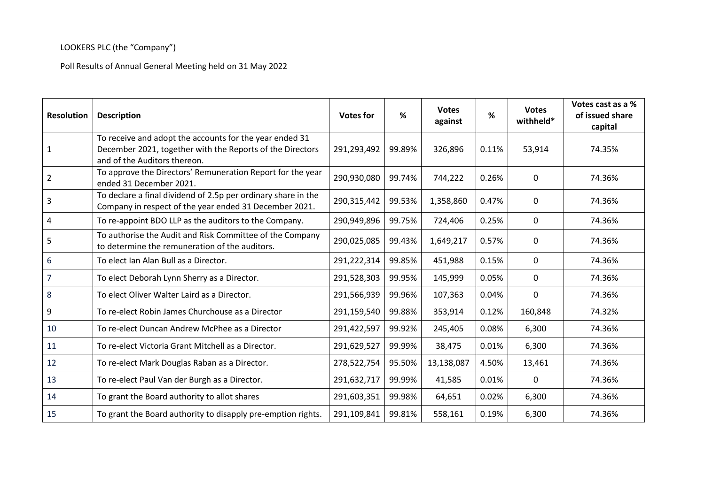## LOOKERS PLC (the "Company")

Poll Results of Annual General Meeting held on 31 May 2022

| <b>Resolution</b> | <b>Description</b>                                                                                                                                   | <b>Votes for</b> | %      | <b>Votes</b><br>against | %     | <b>Votes</b><br>withheld* | Votes cast as a %<br>of issued share<br>capital |
|-------------------|------------------------------------------------------------------------------------------------------------------------------------------------------|------------------|--------|-------------------------|-------|---------------------------|-------------------------------------------------|
| 1                 | To receive and adopt the accounts for the year ended 31<br>December 2021, together with the Reports of the Directors<br>and of the Auditors thereon. | 291,293,492      | 99.89% | 326,896                 | 0.11% | 53,914                    | 74.35%                                          |
| $\overline{2}$    | To approve the Directors' Remuneration Report for the year<br>ended 31 December 2021.                                                                | 290,930,080      | 99.74% | 744,222                 | 0.26% | 0                         | 74.36%                                          |
| 3                 | To declare a final dividend of 2.5p per ordinary share in the<br>Company in respect of the year ended 31 December 2021.                              | 290,315,442      | 99.53% | 1,358,860               | 0.47% | 0                         | 74.36%                                          |
| 4                 | To re-appoint BDO LLP as the auditors to the Company.                                                                                                | 290,949,896      | 99.75% | 724,406                 | 0.25% | $\mathbf{0}$              | 74.36%                                          |
| 5                 | To authorise the Audit and Risk Committee of the Company<br>to determine the remuneration of the auditors.                                           | 290,025,085      | 99.43% | 1,649,217               | 0.57% | 0                         | 74.36%                                          |
| 6                 | To elect Ian Alan Bull as a Director.                                                                                                                | 291,222,314      | 99.85% | 451,988                 | 0.15% | 0                         | 74.36%                                          |
| 7                 | To elect Deborah Lynn Sherry as a Director.                                                                                                          | 291,528,303      | 99.95% | 145,999                 | 0.05% | $\mathbf 0$               | 74.36%                                          |
| 8                 | To elect Oliver Walter Laird as a Director.                                                                                                          | 291,566,939      | 99.96% | 107,363                 | 0.04% | $\mathbf 0$               | 74.36%                                          |
| 9                 | To re-elect Robin James Churchouse as a Director                                                                                                     | 291,159,540      | 99.88% | 353,914                 | 0.12% | 160,848                   | 74.32%                                          |
| 10                | To re-elect Duncan Andrew McPhee as a Director                                                                                                       | 291,422,597      | 99.92% | 245,405                 | 0.08% | 6,300                     | 74.36%                                          |
| 11                | To re-elect Victoria Grant Mitchell as a Director.                                                                                                   | 291,629,527      | 99.99% | 38,475                  | 0.01% | 6,300                     | 74.36%                                          |
| 12                | To re-elect Mark Douglas Raban as a Director.                                                                                                        | 278,522,754      | 95.50% | 13,138,087              | 4.50% | 13,461                    | 74.36%                                          |
| 13                | To re-elect Paul Van der Burgh as a Director.                                                                                                        | 291,632,717      | 99.99% | 41,585                  | 0.01% | $\mathbf 0$               | 74.36%                                          |
| 14                | To grant the Board authority to allot shares                                                                                                         | 291,603,351      | 99.98% | 64,651                  | 0.02% | 6,300                     | 74.36%                                          |
| 15                | To grant the Board authority to disapply pre-emption rights.                                                                                         | 291,109,841      | 99.81% | 558,161                 | 0.19% | 6,300                     | 74.36%                                          |